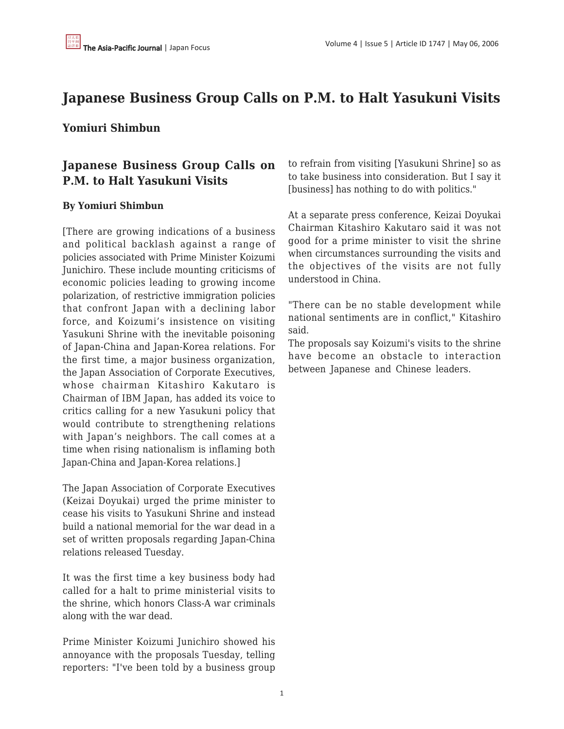## **Japanese Business Group Calls on P.M. to Halt Yasukuni Visits**

## **Yomiuri Shimbun**

## **Japanese Business Group Calls on P.M. to Halt Yasukuni Visits**

## **By Yomiuri Shimbun**

[There are growing indications of a business and political backlash against a range of policies associated with Prime Minister Koizumi Junichiro. These include mounting criticisms of economic policies leading to growing income polarization, of restrictive immigration policies that confront Japan with a declining labor force, and Koizumi's insistence on visiting Yasukuni Shrine with the inevitable poisoning of Japan-China and Japan-Korea relations. For the first time, a major business organization, the Japan Association of Corporate Executives, whose chairman Kitashiro Kakutaro is Chairman of IBM Japan, has added its voice to critics calling for a new Yasukuni policy that would contribute to strengthening relations with Japan's neighbors. The call comes at a time when rising nationalism is inflaming both Japan-China and Japan-Korea relations.]

The Japan Association of Corporate Executives (Keizai Doyukai) urged the prime minister to cease his visits to Yasukuni Shrine and instead build a national memorial for the war dead in a set of written proposals regarding Japan-China relations released Tuesday.

It was the first time a key business body had called for a halt to prime ministerial visits to the shrine, which honors Class-A war criminals along with the war dead.

Prime Minister Koizumi Junichiro showed his annoyance with the proposals Tuesday, telling reporters: "I've been told by a business group to refrain from visiting [Yasukuni Shrine] so as to take business into consideration. But I say it [business] has nothing to do with politics."

At a separate press conference, Keizai Doyukai Chairman Kitashiro Kakutaro said it was not good for a prime minister to visit the shrine when circumstances surrounding the visits and the objectives of the visits are not fully understood in China.

"There can be no stable development while national sentiments are in conflict," Kitashiro said.

The proposals say Koizumi's visits to the shrine have become an obstacle to interaction between Japanese and Chinese leaders.